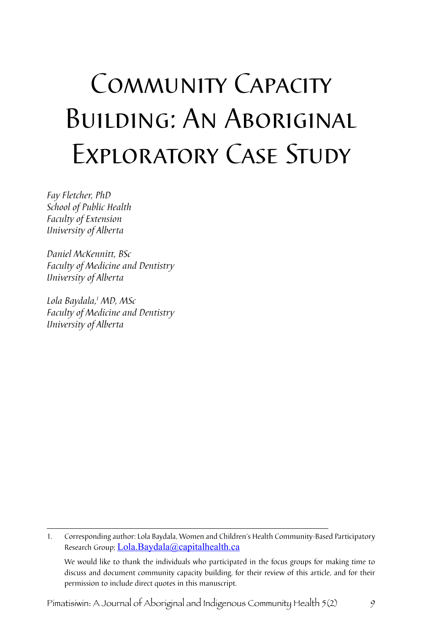# Community Capacity Building: An Aboriginal Exploratory Case Study

*Fay Fletcher, PhD School of Public Health Faculty of Extension University of Alberta* 

*Daniel McKennitt, BSc Faculty of Medicine and Dentistry University of Alberta*

*Lola Baydala, MD, MSc Faculty of Medicine and Dentistry University of Alberta*

1. Corresponding author: Lola Baydala, Women and Children's Health Community-Based Participatory Research Group; Lola.Baydala@capitalhealth.ca

 We would like to thank the individuals who participated in the focus groups for making time to discuss and document community capacity building, for their review of this article, and for their permission to include direct quotes in this manuscript.

Pimatisiwin: A Journal of Aboriginal and Indigenous Community Health 5(2)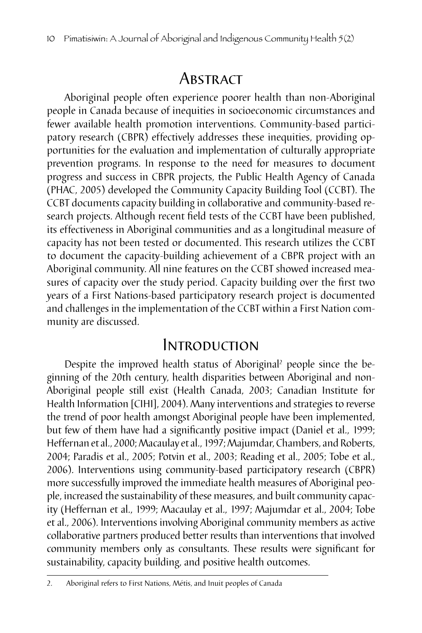# **ABSTRACT**

Aboriginal people often experience poorer health than non-Aboriginal people in Canada because of inequities in socioeconomic circumstances and fewer available health promotion interventions. Community-based participatory research (CBPR) effectively addresses these inequities, providing opportunities for the evaluation and implementation of culturally appropriate prevention programs. In response to the need for measures to document progress and success in CBPR projects, the Public Health Agency of Canada (PHAC, 2005) developed the Community Capacity Building Tool (CCBT). The CCBT documents capacity building in collaborative and community-based research projects. Although recent field tests of the CCBT have been published, its effectiveness in Aboriginal communities and as a longitudinal measure of capacity has not been tested or documented. This research utilizes the CCBT to document the capacity-building achievement of a CBPR project with an Aboriginal community. All nine features on the CCBT showed increased measures of capacity over the study period. Capacity building over the first two years of a First Nations-based participatory research project is documented and challenges in the implementation of the CCBT within a First Nation community are discussed.

## Introduction

Despite the improved health status of Aboriginal<sup>2</sup> people since the beginning of the 20th century, health disparities between Aboriginal and non-Aboriginal people still exist (Health Canada, 2003; Canadian Institute for Health Information [CIHI], 2004). Many interventions and strategies to reverse the trend of poor health amongst Aboriginal people have been implemented, but few of them have had a significantly positive impact (Daniel et al., 1999; Heffernan et al., 2000; Macaulay et al., 1997; Majumdar, Chambers, and Roberts, 2004; Paradis et al., 2005; Potvin et al., 2003; Reading et al., 2005; Tobe et al., 2006). Interventions using community-based participatory research (CBPR) more successfully improved the immediate health measures of Aboriginal people, increased the sustainability of these measures, and built community capacity (Heffernan et al., 1999; Macaulay et al., 1997; Majumdar et al., 2004; Tobe et al., 2006). Interventions involving Aboriginal community members as active collaborative partners produced better results than interventions that involved community members only as consultants. These results were significant for sustainability, capacity building, and positive health outcomes.

<sup>2.</sup> Aboriginal refers to First Nations, Métis, and Inuit peoples of Canada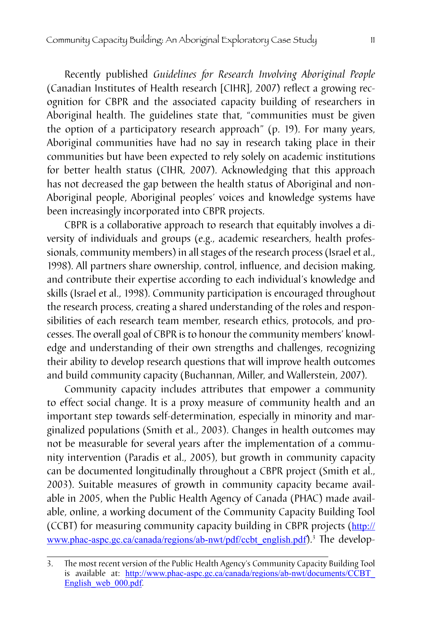Recently published *Guidelines for Research Involving Aboriginal People* (Canadian Institutes of Health research [CIHR], 2007) reflect a growing recognition for CBPR and the associated capacity building of researchers in Aboriginal health. The guidelines state that, "communities must be given the option of a participatory research approach" (p. 19). For many years, Aboriginal communities have had no say in research taking place in their communities but have been expected to rely solely on academic institutions for better health status (CIHR, 2007). Acknowledging that this approach has not decreased the gap between the health status of Aboriginal and non-Aboriginal people, Aboriginal peoples' voices and knowledge systems have been increasingly incorporated into CBPR projects.

CBPR is a collaborative approach to research that equitably involves a diversity of individuals and groups (e.g., academic researchers, health professionals, community members) in all stages of the research process (Israel et al., 1998). All partners share ownership, control, influence, and decision making, and contribute their expertise according to each individual's knowledge and skills (Israel et al., 1998). Community participation is encouraged throughout the research process, creating a shared understanding of the roles and responsibilities of each research team member, research ethics, protocols, and processes. The overall goal of CBPR is to honour the community members' knowledge and understanding of their own strengths and challenges, recognizing their ability to develop research questions that will improve health outcomes and build community capacity (Buchannan, Miller, and Wallerstein, 2007).

Community capacity includes attributes that empower a community to effect social change. It is a proxy measure of community health and an important step towards self-determination, especially in minority and marginalized populations (Smith et al., 2003). Changes in health outcomes may not be measurable for several years after the implementation of a community intervention (Paradis et al., 2005), but growth in community capacity can be documented longitudinally throughout a CBPR project (Smith et al., 2003). Suitable measures of growth in community capacity became available in 2005, when the Public Health Agency of Canada (PHAC) made available, online, a working document of the Community Capacity Building Tool (CCBT) for measuring community capacity building in CBPR projects (http:// www.phac-aspc.gc.ca/canada/regions/ab-nwt/pdf/ccbt\_english.pdf).<sup>3</sup> The develop-

<sup>3.</sup> The most recent version of the Public Health Agency's Community Capacity Building Tool is available at: http://www.phac-aspc.gc.ca/canada/regions/ab-nwt/documents/CCBT\_ English web 000.pdf.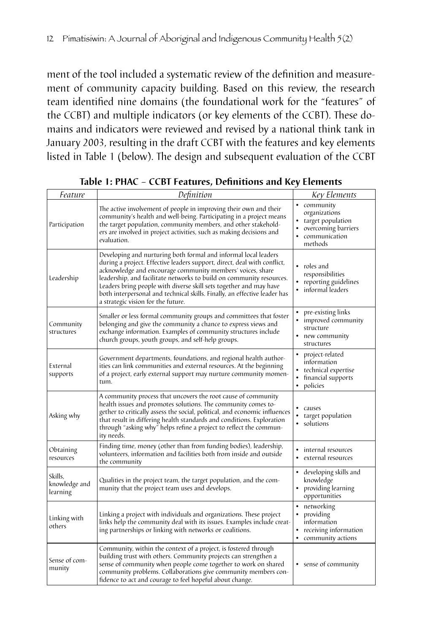ment of the tool included a systematic review of the definition and measurement of community capacity building. Based on this review, the research team identified nine domains (the foundational work for the "features" of the CCBT) and multiple indicators (or key elements of the CCBT). These domains and indicators were reviewed and revised by a national think tank in January 2003, resulting in the draft CCBT with the features and key elements listed in Table 1 (below). The design and subsequent evaluation of the CCBT

| Feature                              | Definition                                                                                                                                                                                                                                                                                                                                                                                                                                                                 | Key Elements                                                                                           |
|--------------------------------------|----------------------------------------------------------------------------------------------------------------------------------------------------------------------------------------------------------------------------------------------------------------------------------------------------------------------------------------------------------------------------------------------------------------------------------------------------------------------------|--------------------------------------------------------------------------------------------------------|
| Participation                        | The active involvement of people in improving their own and their<br>community's health and well-being. Participating in a project means<br>the target population, community members, and other stakehold-<br>ers are involved in project activities, such as making decisions and<br>evaluation.                                                                                                                                                                          | • community<br>organizations<br>• target population<br>overcoming barriers<br>communication<br>methods |
| Leadership                           | Developing and nurturing both formal and informal local leaders<br>during a project. Effective leaders support, direct, deal with conflict,<br>acknowledge and encourage community members' voices, share<br>leadership, and facilitate networks to build on community resources.<br>Leaders bring people with diverse skill sets together and may have<br>both interpersonal and technical skills. Finally, an effective leader has<br>a strategic vision for the future. | • roles and<br>responsibilities<br>reporting guidelines<br>informal leaders                            |
| Community<br>structures              | Smaller or less formal community groups and committees that foster<br>belonging and give the community a chance to express views and<br>exchange information. Examples of community structures include<br>church groups, youth groups, and self-help groups.                                                                                                                                                                                                               | pre-existing links<br>improved community<br>structure<br>new community<br>structures                   |
| External<br>supports                 | Government departments, foundations, and regional health author-<br>ities can link communities and external resources. At the beginning<br>of a project, early external support may nurture community momen-<br>tum.                                                                                                                                                                                                                                                       | project-related<br>information<br>technical expertise<br>financial supports<br>policies                |
| Asking why                           | A community process that uncovers the root cause of community<br>health issues and promotes solutions. The community comes to-<br>gether to critically assess the social, political, and economic influences<br>that result in differing health standards and conditions. Exploration<br>through "asking why" helps refine a project to reflect the commun-<br>ity needs.                                                                                                  | causes<br>target population<br>• solutions                                                             |
| Obtaining<br>resources               | Finding time, money (other than from funding bodies), leadership,<br>volunteers, information and facilities both from inside and outside<br>the community                                                                                                                                                                                                                                                                                                                  | internal resources<br>external resources                                                               |
| Skills.<br>knowledge and<br>learning | Qualities in the project team, the target population, and the com-<br>munity that the project team uses and develops.                                                                                                                                                                                                                                                                                                                                                      | developing skills and<br>knowledge<br>providing learning<br>opportunities                              |
| Linking with<br>others               | Linking a project with individuals and organizations. These project<br>links help the community deal with its issues. Examples include creat-<br>ing partnerships or linking with networks or coalitions.                                                                                                                                                                                                                                                                  | networking<br>providing<br>۰<br>information<br>receiving information<br>community actions              |
| Sense of com-<br>munity              | Community, within the context of a project, is fostered through<br>building trust with others. Community projects can strengthen a<br>sense of community when people come together to work on shared<br>community problems. Collaborations give community members con-<br>fidence to act and courage to feel hopeful about change.                                                                                                                                         | • sense of community                                                                                   |

**Table 1: PHAC – CCBT Features, Definitions and Key Elements**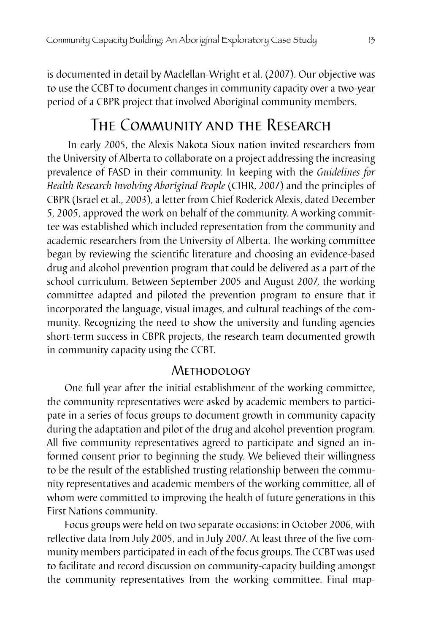is documented in detail by Maclellan-Wright et al. (2007). Our objective was to use the CCBT to document changes in community capacity over a two-year period of a CBPR project that involved Aboriginal community members.

# The Community and the Research

In early 2005, the Alexis Nakota Sioux nation invited researchers from the University of Alberta to collaborate on a project addressing the increasing prevalence of FASD in their community. In keeping with the *Guidelines for Health Research Involving Aboriginal People* (CIHR, 2007) and the principles of CBPR (Israel et al., 2003), a letter from Chief Roderick Alexis, dated December 5, 2005, approved the work on behalf of the community. A working committee was established which included representation from the community and academic researchers from the University of Alberta. The working committee began by reviewing the scientific literature and choosing an evidence-based drug and alcohol prevention program that could be delivered as a part of the school curriculum. Between September 2005 and August 2007, the working committee adapted and piloted the prevention program to ensure that it incorporated the language, visual images, and cultural teachings of the community. Recognizing the need to show the university and funding agencies short-term success in CBPR projects, the research team documented growth in community capacity using the CCBT.

#### **METHODOLOGY**

One full year after the initial establishment of the working committee, the community representatives were asked by academic members to participate in a series of focus groups to document growth in community capacity during the adaptation and pilot of the drug and alcohol prevention program. All five community representatives agreed to participate and signed an informed consent prior to beginning the study. We believed their willingness to be the result of the established trusting relationship between the community representatives and academic members of the working committee, all of whom were committed to improving the health of future generations in this First Nations community.

Focus groups were held on two separate occasions: in October 2006, with reflective data from July 2005, and in July 2007. At least three of the five community members participated in each of the focus groups. The CCBT was used to facilitate and record discussion on community-capacity building amongst the community representatives from the working committee. Final map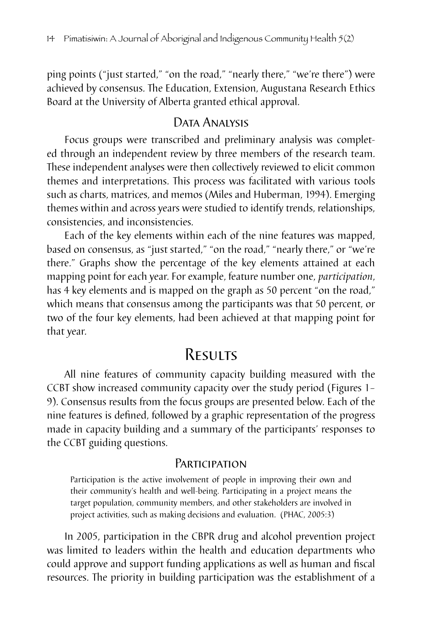ping points ("just started," "on the road," "nearly there," "we're there") were achieved by consensus. The Education, Extension, Augustana Research Ethics Board at the University of Alberta granted ethical approval.

## Data Analysis

Focus groups were transcribed and preliminary analysis was completed through an independent review by three members of the research team. These independent analyses were then collectively reviewed to elicit common themes and interpretations. This process was facilitated with various tools such as charts, matrices, and memos (Miles and Huberman, 1994). Emerging themes within and across years were studied to identify trends, relationships, consistencies, and inconsistencies.

Each of the key elements within each of the nine features was mapped, based on consensus, as "just started," "on the road," "nearly there," or "we're there." Graphs show the percentage of the key elements attained at each mapping point for each year. For example, feature number one, *participation*, has 4 key elements and is mapped on the graph as 50 percent "on the road," which means that consensus among the participants was that 50 percent, or two of the four key elements, had been achieved at that mapping point for that year.

# Results

All nine features of community capacity building measured with the CCBT show increased community capacity over the study period (Figures 1– 9). Consensus results from the focus groups are presented below. Each of the nine features is defined, followed by a graphic representation of the progress made in capacity building and a summary of the participants' responses to the CCBT guiding questions.

#### **PARTICIPATION**

Participation is the active involvement of people in improving their own and their community's health and well-being. Participating in a project means the target population, community members, and other stakeholders are involved in project activities, such as making decisions and evaluation. (PHAC, 2005:3)

In 2005, participation in the CBPR drug and alcohol prevention project was limited to leaders within the health and education departments who could approve and support funding applications as well as human and fiscal resources. The priority in building participation was the establishment of a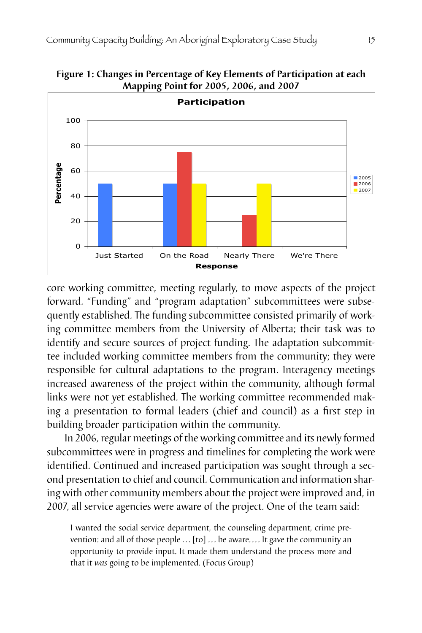



core working committee, meeting regularly, to move aspects of the project forward. "Funding" and "program adaptation" subcommittees were subsequently established. The funding subcommittee consisted primarily of working committee members from the University of Alberta; their task was to identify and secure sources of project funding. The adaptation subcommittee included working committee members from the community; they were responsible for cultural adaptations to the program. Interagency meetings increased awareness of the project within the community, although formal links were not yet established. The working committee recommended making a presentation to formal leaders (chief and council) as a first step in building broader participation within the community.

In 2006, regular meetings of the working committee and its newly formed subcommittees were in progress and timelines for completing the work were identified. Continued and increased participation was sought through a second presentation to chief and council. Communication and information sharing with other community members about the project were improved and, in 2007, all service agencies were aware of the project. One of the team said:

I wanted the social service department, the counseling department, crime prevention: and all of those people  $\ldots$  [to]  $\ldots$  be aware.... It gave the community an opportunity to provide input. It made them understand the process more and that it *was* going to be implemented. (Focus Group)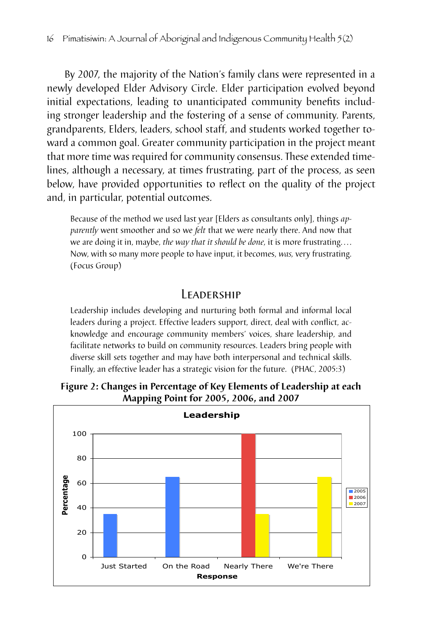By 2007, the majority of the Nation's family clans were represented in a newly developed Elder Advisory Circle. Elder participation evolved beyond initial expectations, leading to unanticipated community benefits including stronger leadership and the fostering of a sense of community. Parents, grandparents, Elders, leaders, school staff, and students worked together toward a common goal. Greater community participation in the project meant that more time was required for community consensus. These extended timelines, although a necessary, at times frustrating, part of the process, as seen below, have provided opportunities to reflect on the quality of the project and, in particular, potential outcomes.

Because of the method we used last year [Elders as consultants only], things *apparently* went smoother and so we *felt* that we were nearly there. And now that we are doing it in, maybe, *the way that it should be done,* it is more frustrating. . . . Now, with so many more people to have input, it becomes, *was,* very frustrating. (Focus Group)

## **LEADERSHIP**

Leadership includes developing and nurturing both formal and informal local leaders during a project. Effective leaders support, direct, deal with conflict, acknowledge and encourage community members' voices, share leadership, and facilitate networks to build on community resources. Leaders bring people with diverse skill sets together and may have both interpersonal and technical skills. Finally, an effective leader has a strategic vision for the future. (PHAC, 2005:3)



**Figure 2: Changes in Percentage of Key Elements of Leadership at each Mapping Point for 2005, 2006, and 2007**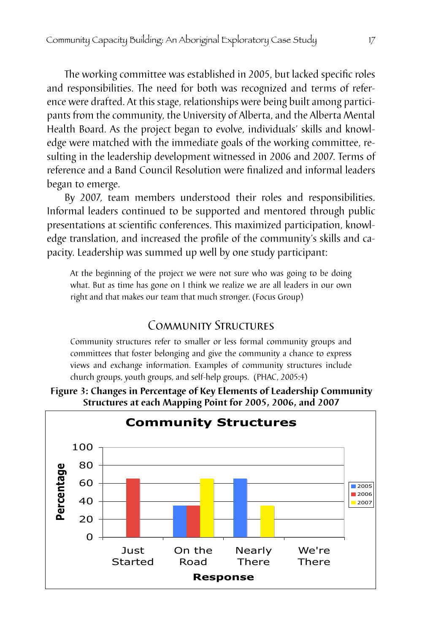The working committee was established in 2005, but lacked specific roles and responsibilities. The need for both was recognized and terms of reference were drafted. At this stage, relationships were being built among participants from the community, the University of Alberta, and the Alberta Mental Health Board. As the project began to evolve, individuals' skills and knowledge were matched with the immediate goals of the working committee, resulting in the leadership development witnessed in 2006 and 2007. Terms of reference and a Band Council Resolution were finalized and informal leaders began to emerge.

By 2007, team members understood their roles and responsibilities. Informal leaders continued to be supported and mentored through public presentations at scientific conferences. This maximized participation, knowledge translation, and increased the profile of the community's skills and capacity. Leadership was summed up well by one study participant:

At the beginning of the project we were not sure who was going to be doing what. But as time has gone on I think we realize we are all leaders in our own right and that makes our team that much stronger. (Focus Group)

## Community Structures

Community structures refer to smaller or less formal community groups and committees that foster belonging and give the community a chance to express views and exchange information. Examples of community structures include church groups, youth groups, and self-help groups. (PHAC, 2005:4)

**Figure 3: Changes in Percentage of Key Elements of Leadership Community Structures at each Mapping Point for 2005, 2006, and 2007**

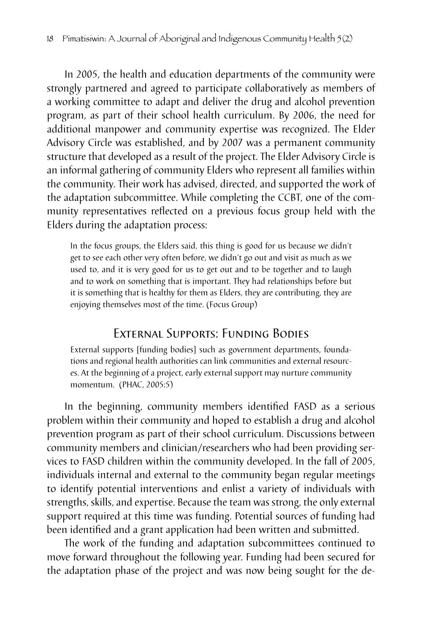In 2005, the health and education departments of the community were strongly partnered and agreed to participate collaboratively as members of a working committee to adapt and deliver the drug and alcohol prevention program, as part of their school health curriculum. By 2006, the need for additional manpower and community expertise was recognized. The Elder Advisory Circle was established, and by 2007 was a permanent community structure that developed as a result of the project. The Elder Advisory Circle is an informal gathering of community Elders who represent all families within the community. Their work has advised, directed, and supported the work of the adaptation subcommittee. While completing the CCBT, one of the community representatives reflected on a previous focus group held with the Elders during the adaptation process:

In the focus groups, the Elders said, this thing is good for us because we didn't get to see each other very often before, we didn't go out and visit as much as we used to, and it is very good for us to get out and to be together and to laugh and to work on something that is important. They had relationships before but it is something that is healthy for them as Elders, they are contributing, they are enjoying themselves most of the time. (Focus Group)

## External Supports: Funding Bodies

External supports [funding bodies] such as government departments, foundations and regional health authorities can link communities and external resources. At the beginning of a project, early external support may nurture community momentum. (PHAC, 2005:5)

In the beginning, community members identified FASD as a serious problem within their community and hoped to establish a drug and alcohol prevention program as part of their school curriculum. Discussions between community members and clinician/researchers who had been providing services to FASD children within the community developed. In the fall of 2005, individuals internal and external to the community began regular meetings to identify potential interventions and enlist a variety of individuals with strengths, skills, and expertise. Because the team was strong, the only external support required at this time was funding. Potential sources of funding had been identified and a grant application had been written and submitted.

The work of the funding and adaptation subcommittees continued to move forward throughout the following year. Funding had been secured for the adaptation phase of the project and was now being sought for the de-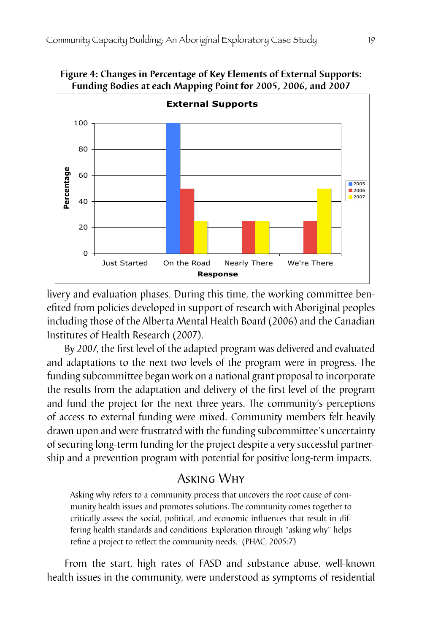

**Figure 4: Changes in Percentage of Key Elements of External Supports: Funding Bodies at each Mapping Point for 2005, 2006, and 2007**

livery and evaluation phases. During this time, the working committee benefited from policies developed in support of research with Aboriginal peoples including those of the Alberta Mental Health Board (2006) and the Canadian Institutes of Health Research (2007).

By 2007, the first level of the adapted program was delivered and evaluated and adaptations to the next two levels of the program were in progress. The funding subcommittee began work on a national grant proposal to incorporate the results from the adaptation and delivery of the first level of the program and fund the project for the next three years. The community's perceptions of access to external funding were mixed. Community members felt heavily drawn upon and were frustrated with the funding subcommittee's uncertainty of securing long-term funding for the project despite a very successful partnership and a prevention program with potential for positive long-term impacts.

## Asking Why

Asking why refers to a community process that uncovers the root cause of community health issues and promotes solutions. The community comes together to critically assess the social, political, and economic influences that result in differing health standards and conditions. Exploration through "asking why" helps refine a project to reflect the community needs. (PHAC, 2005:7)

From the start, high rates of FASD and substance abuse, well-known health issues in the community, were understood as symptoms of residential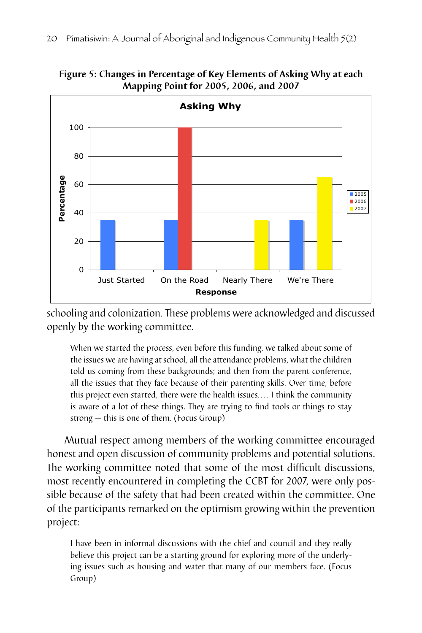

**Figure 5: Changes in Percentage of Key Elements of Asking Why at each Mapping Point for 2005, 2006, and 2007**

schooling and colonization. These problems were acknowledged and discussed openly by the working committee.

When we started the process, even before this funding, we talked about some of the issues we are having at school, all the attendance problems, what the children told us coming from these backgrounds; and then from the parent conference, all the issues that they face because of their parenting skills. Over time, before this project even started, there were the health issues. . . . I think the community is aware of a lot of these things. They are trying to find tools or things to stay strong — this is one of them. (Focus Group)

Mutual respect among members of the working committee encouraged honest and open discussion of community problems and potential solutions. The working committee noted that some of the most difficult discussions, most recently encountered in completing the CCBT for 2007, were only possible because of the safety that had been created within the committee. One of the participants remarked on the optimism growing within the prevention project:

I have been in informal discussions with the chief and council and they really believe this project can be a starting ground for exploring more of the underlying issues such as housing and water that many of our members face. (Focus Group)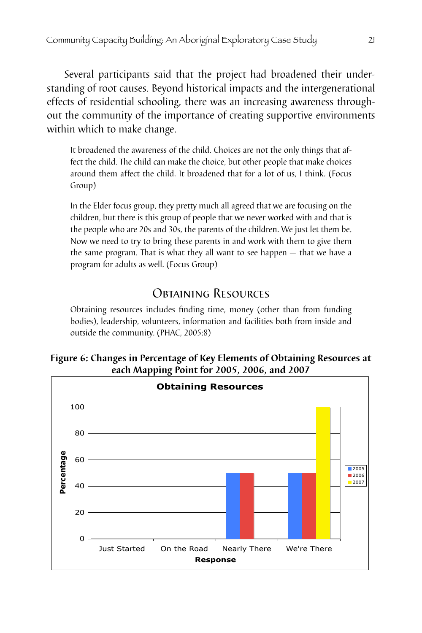Several participants said that the project had broadened their understanding of root causes. Beyond historical impacts and the intergenerational effects of residential schooling, there was an increasing awareness throughout the community of the importance of creating supportive environments within which to make change.

It broadened the awareness of the child. Choices are not the only things that affect the child. The child can make the choice, but other people that make choices around them affect the child. It broadened that for a lot of us, I think. (Focus Group)

In the Elder focus group, they pretty much all agreed that we are focusing on the children, but there is this group of people that we never worked with and that is the people who are 20s and 30s, the parents of the children. We just let them be. Now we need to try to bring these parents in and work with them to give them the same program. That is what they all want to see happen — that we have a program for adults as well. (Focus Group)

## Obtaining Resources

Obtaining resources includes finding time, money (other than from funding bodies), leadership, volunteers, information and facilities both from inside and outside the community. (PHAC, 2005:8)

#### **Figure 6: Changes in Percentage of Key Elements of Obtaining Resources at each Mapping Point for 2005, 2006, and 2007**

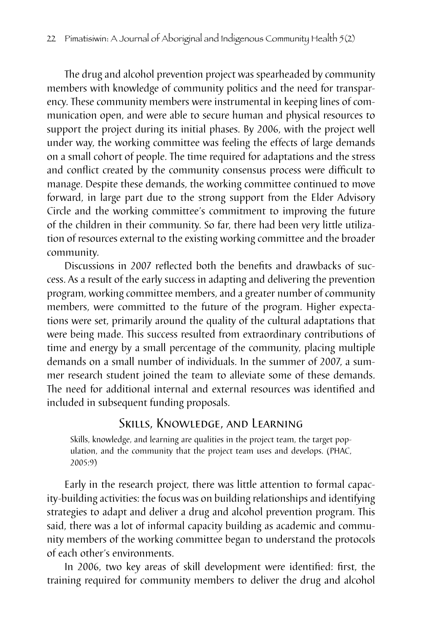The drug and alcohol prevention project was spearheaded by community members with knowledge of community politics and the need for transparency. These community members were instrumental in keeping lines of communication open, and were able to secure human and physical resources to support the project during its initial phases. By 2006, with the project well under way, the working committee was feeling the effects of large demands on a small cohort of people. The time required for adaptations and the stress and conflict created by the community consensus process were difficult to manage. Despite these demands, the working committee continued to move forward, in large part due to the strong support from the Elder Advisory Circle and the working committee's commitment to improving the future of the children in their community. So far, there had been very little utilization of resources external to the existing working committee and the broader community.

Discussions in 2007 reflected both the benefits and drawbacks of success. As a result of the early success in adapting and delivering the prevention program, working committee members, and a greater number of community members, were committed to the future of the program. Higher expectations were set, primarily around the quality of the cultural adaptations that were being made. This success resulted from extraordinary contributions of time and energy by a small percentage of the community, placing multiple demands on a small number of individuals. In the summer of 2007, a summer research student joined the team to alleviate some of these demands. The need for additional internal and external resources was identified and included in subsequent funding proposals.

## Skills, Knowledge, and Learning

Skills, knowledge, and learning are qualities in the project team, the target population, and the community that the project team uses and develops. (PHAC, 2005:9)

Early in the research project, there was little attention to formal capacity-building activities: the focus was on building relationships and identifying strategies to adapt and deliver a drug and alcohol prevention program. This said, there was a lot of informal capacity building as academic and community members of the working committee began to understand the protocols of each other's environments.

In 2006, two key areas of skill development were identified: first, the training required for community members to deliver the drug and alcohol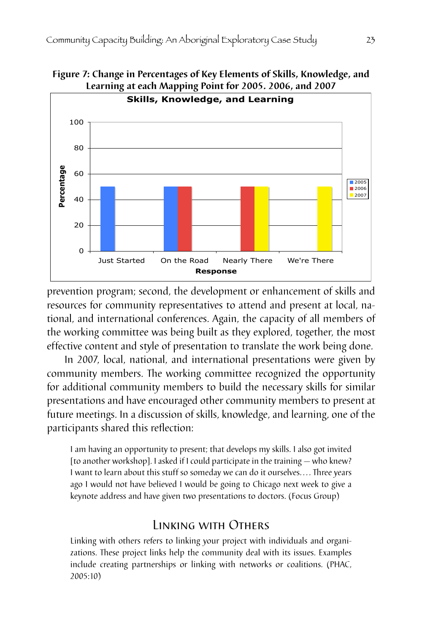

**Figure 7: Change in Percentages of Key Elements of Skills, Knowledge, and** 

prevention program; second, the development or enhancement of skills and resources for community representatives to attend and present at local, national, and international conferences. Again, the capacity of all members of the working committee was being built as they explored, together, the most effective content and style of presentation to translate the work being done.

In 2007, local, national, and international presentations were given by community members. The working committee recognized the opportunity for additional community members to build the necessary skills for similar presentations and have encouraged other community members to present at future meetings. In a discussion of skills, knowledge, and learning, one of the participants shared this reflection:

I am having an opportunity to present; that develops my skills. I also got invited [to another workshop]. I asked if I could participate in the training — who knew? I want to learn about this stuff so someday we can do it ourselves.... Three years ago I would not have believed I would be going to Chicago next week to give a keynote address and have given two presentations to doctors. (Focus Group)

#### Linking with Others

Linking with others refers to linking your project with individuals and organizations. These project links help the community deal with its issues. Examples include creating partnerships or linking with networks or coalitions. (PHAC, 2005:10)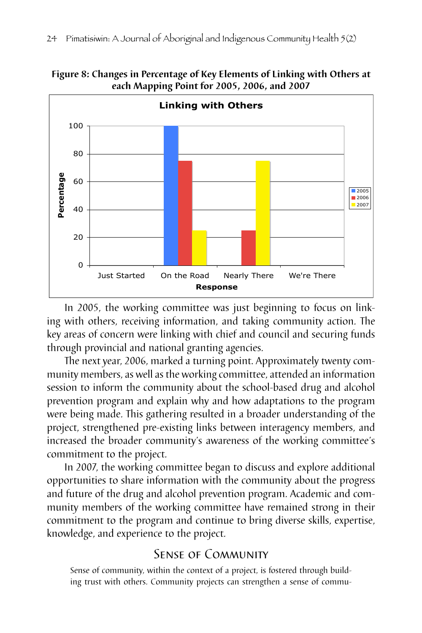

**Figure 8: Changes in Percentage of Key Elements of Linking with Others at each Mapping Point for 2005, 2006, and 2007**

In 2005, the working committee was just beginning to focus on linking with others, receiving information, and taking community action. The key areas of concern were linking with chief and council and securing funds through provincial and national granting agencies.

The next year, 2006, marked a turning point. Approximately twenty community members, as well as the working committee, attended an information session to inform the community about the school-based drug and alcohol prevention program and explain why and how adaptations to the program were being made. This gathering resulted in a broader understanding of the project, strengthened pre-existing links between interagency members, and increased the broader community's awareness of the working committee's commitment to the project.

In 2007, the working committee began to discuss and explore additional opportunities to share information with the community about the progress and future of the drug and alcohol prevention program. Academic and community members of the working committee have remained strong in their commitment to the program and continue to bring diverse skills, expertise, knowledge, and experience to the project.

## Sense of Community

Sense of community, within the context of a project, is fostered through building trust with others. Community projects can strengthen a sense of commu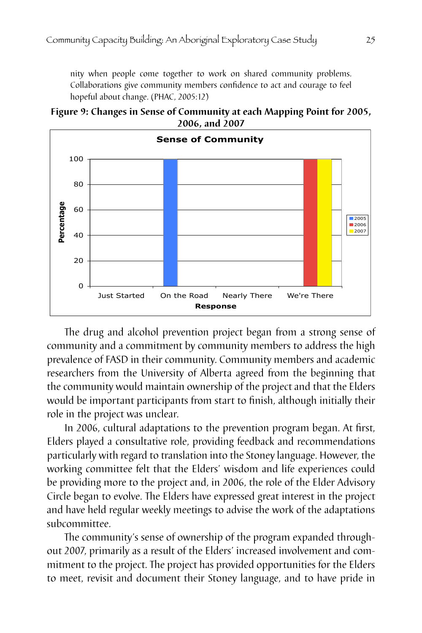nity when people come together to work on shared community problems. Collaborations give community members confidence to act and courage to feel hopeful about change. (PHAC, 2005:12)





The drug and alcohol prevention project began from a strong sense of community and a commitment by community members to address the high prevalence of FASD in their community. Community members and academic researchers from the University of Alberta agreed from the beginning that the community would maintain ownership of the project and that the Elders would be important participants from start to finish, although initially their role in the project was unclear.

In 2006, cultural adaptations to the prevention program began. At first, Elders played a consultative role, providing feedback and recommendations particularly with regard to translation into the Stoney language. However, the working committee felt that the Elders' wisdom and life experiences could be providing more to the project and, in 2006, the role of the Elder Advisory Circle began to evolve. The Elders have expressed great interest in the project and have held regular weekly meetings to advise the work of the adaptations subcommittee.

The community's sense of ownership of the program expanded throughout 2007, primarily as a result of the Elders' increased involvement and commitment to the project. The project has provided opportunities for the Elders to meet, revisit and document their Stoney language, and to have pride in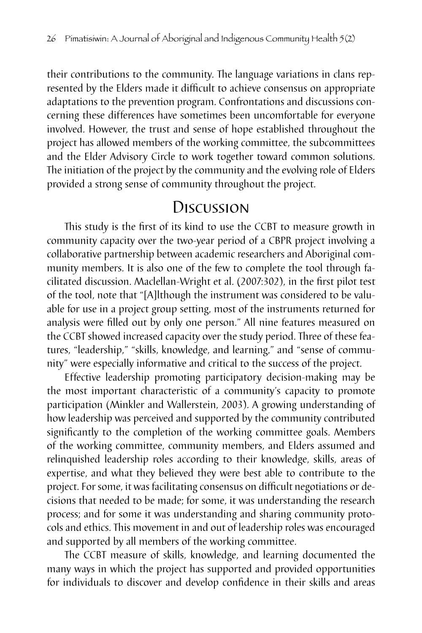their contributions to the community. The language variations in clans represented by the Elders made it difficult to achieve consensus on appropriate adaptations to the prevention program. Confrontations and discussions concerning these differences have sometimes been uncomfortable for everyone involved. However, the trust and sense of hope established throughout the project has allowed members of the working committee, the subcommittees and the Elder Advisory Circle to work together toward common solutions. The initiation of the project by the community and the evolving role of Elders provided a strong sense of community throughout the project.

# **Discussion**

This study is the first of its kind to use the CCBT to measure growth in community capacity over the two-year period of a CBPR project involving a collaborative partnership between academic researchers and Aboriginal community members. It is also one of the few to complete the tool through facilitated discussion. Maclellan-Wright et al. (2007:302), in the first pilot test of the tool, note that "[A]lthough the instrument was considered to be valuable for use in a project group setting, most of the instruments returned for analysis were filled out by only one person." All nine features measured on the CCBT showed increased capacity over the study period. Three of these features, "leadership," "skills, knowledge, and learning," and "sense of community" were especially informative and critical to the success of the project.

Effective leadership promoting participatory decision-making may be the most important characteristic of a community's capacity to promote participation (Minkler and Wallerstein, 2003). A growing understanding of how leadership was perceived and supported by the community contributed significantly to the completion of the working committee goals. Members of the working committee, community members, and Elders assumed and relinquished leadership roles according to their knowledge, skills, areas of expertise, and what they believed they were best able to contribute to the project. For some, it was facilitating consensus on difficult negotiations or decisions that needed to be made; for some, it was understanding the research process; and for some it was understanding and sharing community protocols and ethics. This movement in and out of leadership roles was encouraged and supported by all members of the working committee.

The CCBT measure of skills, knowledge, and learning documented the many ways in which the project has supported and provided opportunities for individuals to discover and develop confidence in their skills and areas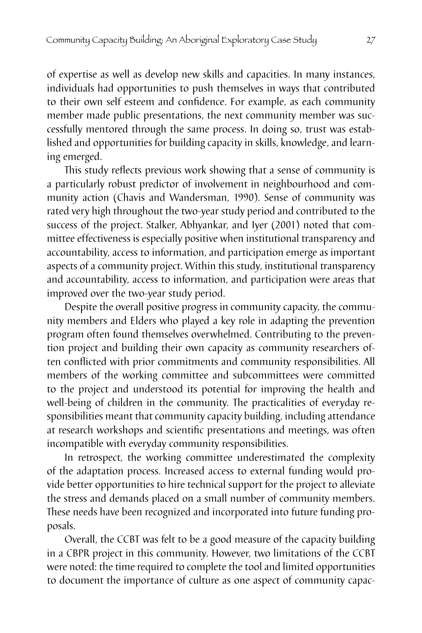of expertise as well as develop new skills and capacities. In many instances, individuals had opportunities to push themselves in ways that contributed to their own self esteem and confidence. For example, as each community member made public presentations, the next community member was successfully mentored through the same process. In doing so, trust was established and opportunities for building capacity in skills, knowledge, and learning emerged.

This study reflects previous work showing that a sense of community is a particularly robust predictor of involvement in neighbourhood and community action (Chavis and Wandersman, 1990). Sense of community was rated very high throughout the two-year study period and contributed to the success of the project. Stalker, Abhyankar, and Iyer (2001) noted that committee effectiveness is especially positive when institutional transparency and accountability, access to information, and participation emerge as important aspects of a community project. Within this study, institutional transparency and accountability, access to information, and participation were areas that improved over the two-year study period.

Despite the overall positive progress in community capacity, the community members and Elders who played a key role in adapting the prevention program often found themselves overwhelmed. Contributing to the prevention project and building their own capacity as community researchers often conflicted with prior commitments and community responsibilities. All members of the working committee and subcommittees were committed to the project and understood its potential for improving the health and well-being of children in the community. The practicalities of everyday responsibilities meant that community capacity building, including attendance at research workshops and scientific presentations and meetings, was often incompatible with everyday community responsibilities.

In retrospect, the working committee underestimated the complexity of the adaptation process. Increased access to external funding would provide better opportunities to hire technical support for the project to alleviate the stress and demands placed on a small number of community members. These needs have been recognized and incorporated into future funding proposals.

Overall, the CCBT was felt to be a good measure of the capacity building in a CBPR project in this community. However, two limitations of the CCBT were noted: the time required to complete the tool and limited opportunities to document the importance of culture as one aspect of community capac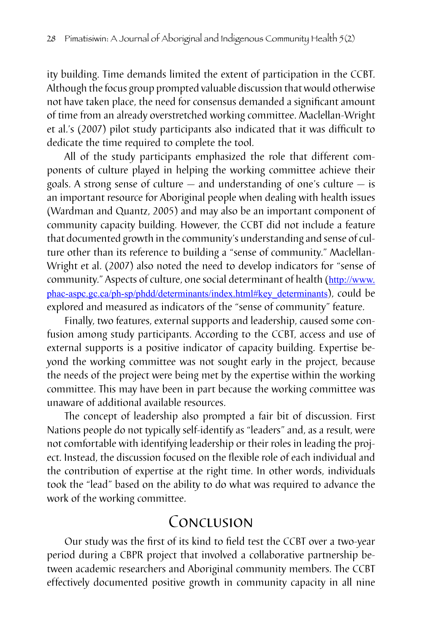ity building. Time demands limited the extent of participation in the CCBT. Although the focus group prompted valuable discussion that would otherwise not have taken place, the need for consensus demanded a significant amount of time from an already overstretched working committee. Maclellan-Wright et al.'s (2007) pilot study participants also indicated that it was difficult to dedicate the time required to complete the tool.

All of the study participants emphasized the role that different components of culture played in helping the working committee achieve their goals. A strong sense of culture — and understanding of one's culture — is an important resource for Aboriginal people when dealing with health issues (Wardman and Quantz, 2005) and may also be an important component of community capacity building. However, the CCBT did not include a feature that documented growth in the community's understanding and sense of culture other than its reference to building a "sense of community." Maclellan-Wright et al. (2007) also noted the need to develop indicators for "sense of community." Aspects of culture, one social determinant of health (http://www. phac-aspc.gc.ca/ph-sp/phdd/determinants/index.html#key\_determinants), could be explored and measured as indicators of the "sense of community" feature.

Finally, two features, external supports and leadership, caused some confusion among study participants. According to the CCBT, access and use of external supports is a positive indicator of capacity building. Expertise beyond the working committee was not sought early in the project, because the needs of the project were being met by the expertise within the working committee. This may have been in part because the working committee was unaware of additional available resources.

The concept of leadership also prompted a fair bit of discussion. First Nations people do not typically self-identify as "leaders" and, as a result, were not comfortable with identifying leadership or their roles in leading the project. Instead, the discussion focused on the flexible role of each individual and the contribution of expertise at the right time. In other words, individuals took the "lead" based on the ability to do what was required to advance the work of the working committee.

# Conclusion

Our study was the first of its kind to field test the CCBT over a two-year period during a CBPR project that involved a collaborative partnership between academic researchers and Aboriginal community members. The CCBT effectively documented positive growth in community capacity in all nine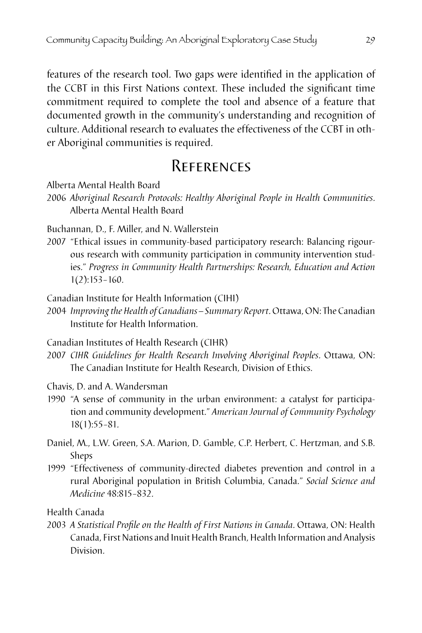features of the research tool. Two gaps were identified in the application of the CCBT in this First Nations context. These included the significant time commitment required to complete the tool and absence of a feature that documented growth in the community's understanding and recognition of culture. Additional research to evaluates the effectiveness of the CCBT in other Aboriginal communities is required.

# **REFERENCES**

Alberta Mental Health Board

2006 *Aboriginal Research Protocols: Healthy Aboriginal People in Health Communities*. Alberta Mental Health Board

Buchannan, D., F. Miller, and N. Wallerstein

2007 "Ethical issues in community-based participatory research: Balancing rigourous research with community participation in community intervention studies." *Progress in Community Health Partnerships: Research, Education and Action*  1(2):153–160.

Canadian Institute for Health Information (CIHI)

2004 *Improving the Health of Canadians – Summary Report*. Ottawa, ON: The Canadian Institute for Health Information.

Canadian Institutes of Health Research (CIHR)

- 2007 *CIHR Guidelines for Health Research Involving Aboriginal Peoples*. Ottawa, ON: The Canadian Institute for Health Research, Division of Ethics.
- Chavis, D. and A. Wandersman
- 1990 "A sense of community in the urban environment: a catalyst for participation and community development." *American Journal of Community Psychology* 18(1):55–81.
- Daniel, M., L.W. Green, S.A. Marion, D. Gamble, C.P. Herbert, C. Hertzman, and S.B. Sheps
- 1999 "Effectiveness of community-directed diabetes prevention and control in a rural Aboriginal population in British Columbia, Canada." *Social Science and Medicine* 48:815–832.

Health Canada

2003 *A Statistical Profile on the Health of First Nations in Canada*. Ottawa, ON: Health Canada, First Nations and Inuit Health Branch, Health Information and Analysis Division.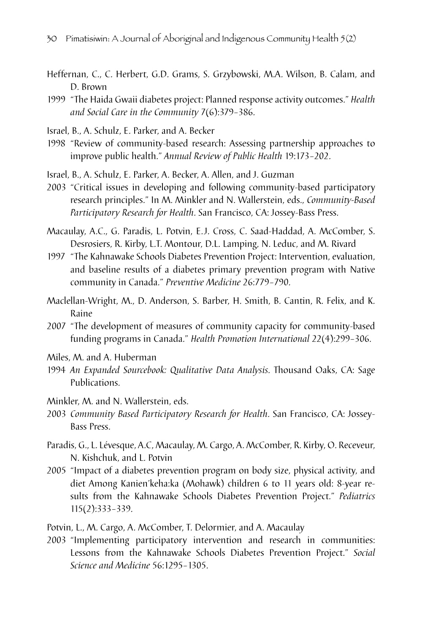- Heffernan, C., C. Herbert, G.D. Grams, S. Grzybowski, M.A. Wilson, B. Calam, and D. Brown
- 1999 *"The Haida Gwaii diabetes project: Planned response activity outcomes." <i>Health and Social Care in the Community* 7(6):379–386.
- Israel, B., A. Schulz, E. Parker, and A. Becker
- 1998 "Review of community-based research: Assessing partnership approaches to improve public health." *Annual Review of Public Health* 19:173–202.

Israel, B., A. Schulz, E. Parker, A. Becker, A. Allen, and J. Guzman

- 2003 "Critical issues in developing and following community-based participatory research principles." In M. Minkler and N. Wallerstein, eds., *Community-Based Participatory Research for Health*. San Francisco, CA: Jossey-Bass Press.
- Macaulay, A.C., G. Paradis, L. Potvin, E.J. Cross, C. Saad-Haddad, A. McComber, S. Desrosiers, R. Kirby, L.T. Montour, D.L. Lamping, N. Leduc, and M. Rivard
- 1997 "The Kahnawake Schools Diabetes Prevention Project: Intervention, evaluation, and baseline results of a diabetes primary prevention program with Native community in Canada." *Preventive Medicine* 26:779–790.
- Maclellan-Wright, M., D. Anderson, S. Barber, H. Smith, B. Cantin, R. Felix, and K. Raine
- 2007 "The development of measures of community capacity for community-based funding programs in Canada." *Health Promotion International* 22(4):299–306.
- Miles, M. and A. Huberman
- 1994 An Expanded Sourcebook: Qualitative Data Analysis. Thousand Oaks, CA: Sage Publications.
- Minkler, M. and N. Wallerstein, eds.
- 2003 *Community Based Participatory Research for Health*. San Francisco, CA: Jossey-Bass Press.
- Paradis, G., L. Lévesque, A.C, Macaulay, M. Cargo, A. McComber, R. Kirby, O. Receveur, N. Kishchuk, and L. Potvin
- 2005 "Impact of a diabetes prevention program on body size, physical activity, and diet Among Kanien'keha:ka (Mohawk) children 6 to 11 years old: 8-year results from the Kahnawake Schools Diabetes Prevention Project." *Pediatrics*  115(2):333–339.

Potvin, L., M. Cargo, A. McComber, T. Delormier, and A. Macaulay

2003 "Implementing participatory intervention and research in communities: Lessons from the Kahnawake Schools Diabetes Prevention Project." *Social Science and Medicine* 56:1295–1305.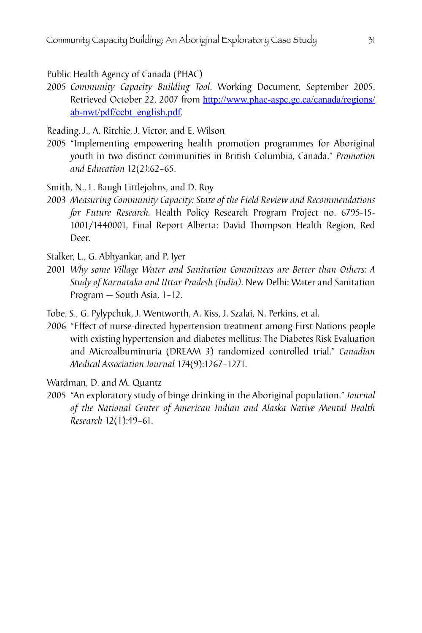Public Health Agency of Canada (PHAC)

2005 *Community Capacity Building Tool*. Working Document, September 2005. Retrieved October 22, 2007 from http://www.phac-aspc.gc.ca/canada/regions/ ab-nwt/pdf/ccbt\_english.pdf.

Reading, J., A. Ritchie, J. Victor, and E. Wilson

2005 "Implementing empowering health promotion programmes for Aboriginal youth in two distinct communities in British Columbia, Canada." *Promotion and Education* 12(2*)*:62–65.

Smith, N., L. Baugh Littlejohns, and D. Roy

2003 Measuring Community Capacity: State of the Field Review and Recommendations *for Future Research.* Health Policy Research Program Project no. 6795-15- 1001/1440001, Final Report Alberta: David Thompson Health Region, Red Deer.

Stalker, L., G. Abhyankar, and P. Iyer

2001 *Why some Village Water and Sanitation Committees are Better than Others: A Study of Karnataka and Uttar Pradesh (India)*. New Delhi: Water and Sanitation Program — South Asia, 1–12.

Tobe, S., G. Pylypchuk, J. Wentworth, A. Kiss, J. Szalai, N. Perkins, et al.

2006 "Effect of nurse-directed hypertension treatment among First Nations people with existing hypertension and diabetes mellitus: The Diabetes Risk Evaluation and Microalbuminuria (DREAM 3) randomized controlled trial." *Canadian Medical Association Journal* 174(9):1267–1271.

Wardman, D. and M. Quantz

2005 "An exploratory study of binge drinking in the Aboriginal population." *Journal of the National Center of American Indian and Alaska Native Mental Health Research* 12(1):49–61.